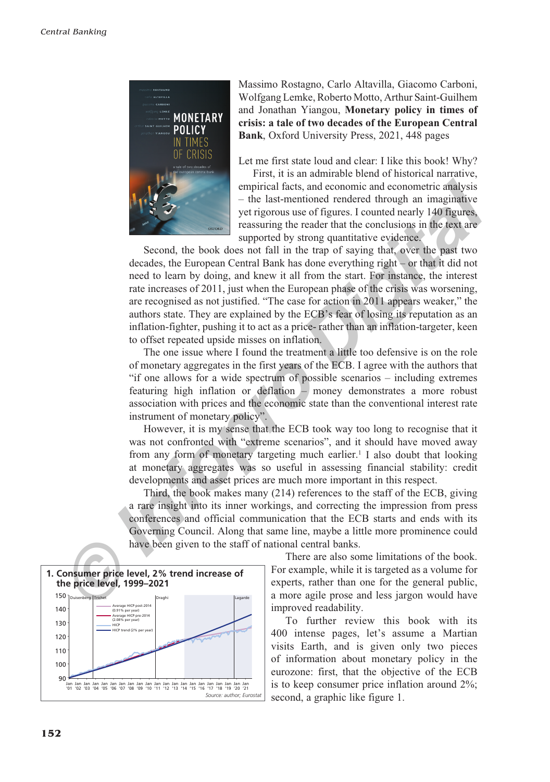

Massimo Rostagno, Carlo Altavilla, Giacomo Carboni, Wolfgang Lemke, Roberto Motto, Arthur Saint-Guilhem and Jonathan Yiangou, **Monetary policy in times of crisis: a tale of two decades of the European Central Bank**, Oxford University Press, 2021, 448 pages

Let me first state loud and clear: I like this book! Why?

First, it is an admirable blend of historical narrative, empirical facts, and economic and econometric analysis – the last-mentioned rendered through an imaginative yet rigorous use of figures. I counted nearly 140 figures, reassuring the reader that the conclusions in the text are supported by strong quantitative evidence.

Second, the book does not fall in the trap of saying that, over the past two decades, the European Central Bank has done everything right – or that it did not need to learn by doing, and knew it all from the start. For instance, the interest rate increases of 2011, just when the European phase of the crisis was worsening. are recognised as not justified. "The case for action in 2011 appears weaker," the authors state. They are explained by the ECB's fear of losing its reputation as an inflation-fighter, pushing it to act as a price- rather than an inflation-targeter, keen to offset repeated upside misses on inflation. empirical facts, and economic and economic<br>
and economic malaysis<br>  $-$  the last-memiond ended endered through an imaginative<br> *I* trigorous use of figures. I counted nearly 140 figures,<br> **Interaction** the book does not fal

The one issue where I found the treatment a little too defensive is on the role of monetary aggregates in the first years of the ECB. I agree with the authors that "if one allows for a wide spectrum of possible scenarios – including extremes featuring high inflation or deflation – money demonstrates a more robust association with prices and the economic state than the conventional interest rate instrument of monetary policy".

However, it is my sense that the ECB took way too long to recognise that it was not confronted with "extreme scenarios", and it should have moved away from any form of monetary targeting much earlier.<sup>1</sup> I also doubt that looking at monetary aggregates was so useful in assessing financial stability: credit developments and asset prices are much more important in this respect.

Third, the book makes many (214) references to the staff of the ECB, giving a rare insight into its inner workings, and correcting the impression from press conferences and official communication that the ECB starts and ends with its Governing Council. Along that same line, maybe a little more prominence could have been given to the staff of national central banks.



There are also some limitations of the book. For example, while it is targeted as a volume for experts, rather than one for the general public, a more agile prose and less jargon would have improved readability.

To further review this book with its 400 intense pages, let's assume a Martian visits Earth, and is given only two pieces of information about monetary policy in the eurozone: first, that the objective of the ECB is to keep consumer price inflation around 2%; second, a graphic like figure 1. *Source: author; Eurostat*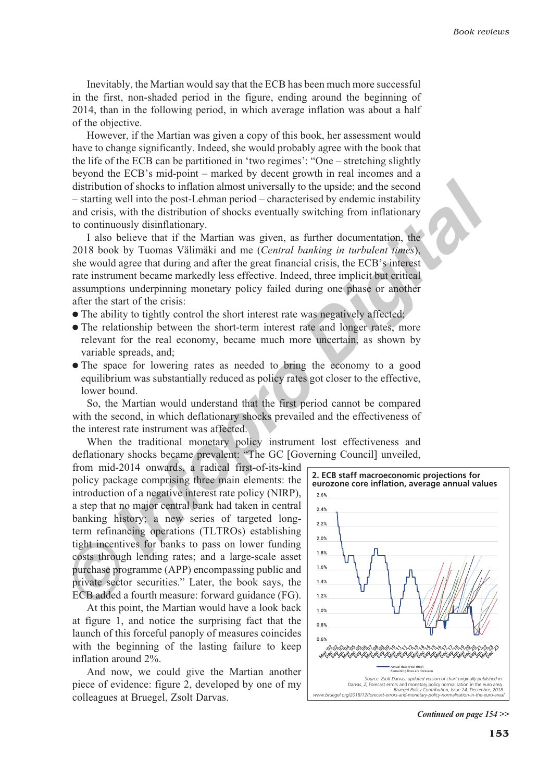Inevitably, the Martian would say that the ECB has been much more successful in the first, non-shaded period in the figure, ending around the beginning of 2014, than in the following period, in which average inflation was about a half of the objective.

However, if the Martian was given a copy of this book, her assessment would have to change significantly. Indeed, she would probably agree with the book that the life of the ECB can be partitioned in 'two regimes': "One – stretching slightly beyond the ECB's mid-point – marked by decent growth in real incomes and a distribution of shocks to inflation almost universally to the upside; and the second – starting well into the post-Lehman period – characterised by endemic instability and crisis, with the distribution of shocks eventually switching from inflationary to continuously disinflationary.

I also believe that if the Martian was given, as further documentation, the 2018 book by Tuomas Välimäki and me (*Central banking in turbulent times*), she would agree that during and after the great financial crisis, the ECB's interest rate instrument became markedly less effective. Indeed, three implicit but critical assumptions underpinning monetary policy failed during one phase or another after the start of the crisis:

- The ability to tightly control the short interest rate was negatively affected;
- The relationship between the short-term interest rate and longer rates, more relevant for the real economy, became much more uncertain, as shown by variable spreads, and;
- The space for lowering rates as needed to bring the economy to a good equilibrium was substantially reduced as policy rates got closer to the effective, lower bound.

So, the Martian would understand that the first period cannot be compared with the second, in which deflationary shocks prevailed and the effectiveness of the interest rate instrument was affected.

When the traditional monetary policy instrument lost effectiveness and deflationary shocks became prevalent: "The GC [Governing Council] unveiled,

from mid-2014 onwards, a radical first-of-its-kind policy package comprising three main elements: the introduction of a negative interest rate policy (NIRP), a step that no major central bank had taken in central banking history; a new series of targeted longterm refinancing operations (TLTROs) establishing tight incentives for banks to pass on lower funding costs through lending rates; and a large-scale asset purchase programme (APP) encompassing public and private sector securities." Later, the book says, the ECB added a fourth measure: forward guidance (FG). distribution of shocks to inflation almost universally to the upside; and the second<br>starting vell into the post-Lehman period - characterised by endemic instability<br>and crisis, with the distribution of shocks eventually s

At this point, the Martian would have a look back at figure 1, and notice the surprising fact that the launch of this forceful panoply of measures coincides with the beginning of the lasting failure to keep inflation around 2%.

And now, we could give the Martian another piece of evidence: figure 2, developed by one of my colleagues at Bruegel, Zsolt Darvas.



*Continued on page 154 >>*